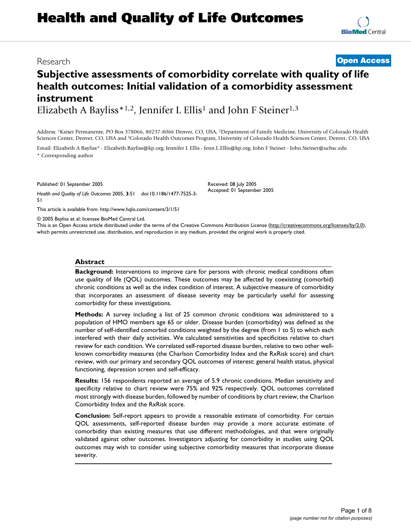# **Health and Quality of Life Outcomes**

# **Subjective assessments of comorbidity correlate with quality of life health outcomes: Initial validation of a comorbidity assessment instrument**

Elizabeth A Bayliss \* 1,2, Jennifer L Ellis<sup>1</sup> and John F Steiner<sup>1,3</sup>

Address: 1Kaiser Permanente, PO Box 378066, 80237-8066 Denver, CO, USA, 2Department of Family Medicine, University of Colorado Health Sciences Center, Denver, CO, USA and 3Colorado Health Outcomes Program, University of Colorado Health Sciences Center, Denver, CO, USA

Email: Elizabeth A Bayliss\* - Elizabeth.Bayliss@kp.org; Jennifer L Ellis - Jenn.L.Ellis@kp.org; John F Steiner - John.Steiner@uchsc.edu \* Corresponding author

Published: 01 September 2005

*Health and Quality of Life Outcomes* 2005, **3**:51 doi:10.1186/1477-7525-3- 51

[This article is available from: http://www.hqlo.com/content/3/1/51](http://www.hqlo.com/content/3/1/51)

© 2005 Bayliss et al; licensee BioMed Central Ltd.

This is an Open Access article distributed under the terms of the Creative Commons Attribution License [\(http://creativecommons.org/licenses/by/2.0\)](http://creativecommons.org/licenses/by/2.0), which permits unrestricted use, distribution, and reproduction in any medium, provided the original work is properly cited.

## **Abstract**

**Background:** Interventions to improve care for persons with chronic medical conditions often use quality of life (QOL) outcomes. These outcomes may be affected by coexisting (comorbid) chronic conditions as well as the index condition of interest. A subjective measure of comorbidity that incorporates an assessment of disease severity may be particularly useful for assessing comorbidity for these investigations.

**Methods:** A survey including a list of 25 common chronic conditions was administered to a population of HMO members age 65 or older. Disease burden (comorbidity) was defined as the number of self-identified comorbid conditions weighted by the degree (from 1 to 5) to which each interfered with their daily activities. We calculated sensitivities and specificities relative to chart review for each condition. We correlated self-reported disease burden, relative to two other wellknown comorbidity measures (the Charlson Comorbidity Index and the RxRisk score) and chart review, with our primary and secondary QOL outcomes of interest: general health status, physical functioning, depression screen and self-efficacy.

**Results:** 156 respondents reported an average of 5.9 chronic conditions. Median sensitivity and specificity relative to chart review were 75% and 92% respectively. QOL outcomes correlated most strongly with disease burden, followed by number of conditions by chart review, the Charlson Comorbidity Index and the RxRisk score.

**Conclusion:** Self-report appears to provide a reasonable estimate of comorbidity. For certain QOL assessments, self-reported disease burden may provide a more accurate estimate of comorbidity than existing measures that use different methodologies, and that were originally validated against other outcomes. Investigators adjusting for comorbidity in studies using QOL outcomes may wish to consider using subjective comorbidity measures that incorporate disease severity.

# Research **[Open Access](http://www.biomedcentral.com/info/about/charter/)**

Received: 08 July 2005 Accepted: 01 September 2005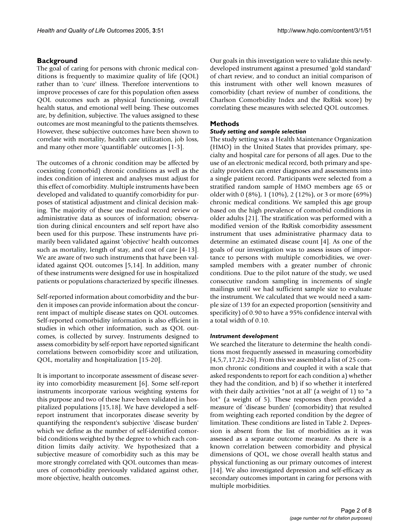## **Background**

The goal of caring for persons with chronic medical conditions is frequently to maximize quality of life (QOL) rather than to 'cure' illness. Therefore interventions to improve processes of care for this population often assess QOL outcomes such as physical functioning, overall health status, and emotional well being. These outcomes are, by definition, subjective. The values assigned to these outcomes are most meaningful to the patients themselves. However, these subjective outcomes have been shown to correlate with mortality, health care utilization, job loss, and many other more 'quantifiable' outcomes [1-3].

The outcomes of a chronic condition may be affected by coexisting (comorbid) chronic conditions as well as the index condition of interest and analyses must adjust for this effect of comorbidity. Multiple instruments have been developed and validated to quantify comorbidity for purposes of statistical adjustment and clinical decision making. The majority of these use medical record review or administrative data as sources of information; observation during clinical encounters and self report have also been used for this purpose. These instruments have primarily been validated against 'objective' health outcomes such as mortality, length of stay, and cost of care [4-13]. We are aware of two such instruments that have been validated against QOL outcomes [5,14]. In addition, many of these instruments were designed for use in hospitalized patients or populations characterized by specific illnesses.

Self-reported information about comorbidity and the burden it imposes can provide information about the concurrent impact of multiple disease states on QOL outcomes. Self-reported comorbidity information is also efficient in studies in which other information, such as QOL outcomes, is collected by survey. Instruments designed to assess comorbidity by self-report have reported significant correlations between comorbidity score and utilization, QOL, mortality and hospitalization [15-20].

It is important to incorporate assessment of disease severity into comorbidity measurement [6]. Some self-report instruments incorporate various weighting systems for this purpose and two of these have been validated in hospitalized populations [15,18]. We have developed a selfreport instrument that incorporates disease severity by quantifying the respondent's subjective 'disease burden' which we define as the number of self-identified comorbid conditions weighted by the degree to which each condition limits daily activity. We hypothesized that a subjective measure of comorbidity such as this may be more strongly correlated with QOL outcomes than measures of comorbidity previously validated against other, more objective, health outcomes.

Our goals in this investigation were to validate this newlydeveloped instrument against a presumed 'gold standard' of chart review, and to conduct an initial comparison of this instrument with other well known measures of comorbidity (chart review of number of conditions, the Charlson Comorbidity Index and the RxRisk score) by correlating these measures with selected QOL outcomes.

# **Methods**

### *Study setting and sample selection*

The study setting was a Health Maintenance Organization (HMO) in the United States that provides primary, specialty and hospital care for persons of all ages. Due to the use of an electronic medical record, both primary and specialty providers can enter diagnoses and assessments into a single patient record. Participants were selected from a stratified random sample of HMO members age 65 or older with 0 (8%), 1 (10%), 2 (12%), or 3 or more (69%) chronic medical conditions. We sampled this age group based on the high prevalence of comorbid conditions in older adults [21]. The stratification was performed with a modified version of the RxRisk comorbidity assessment instrument that uses administrative pharmacy data to determine an estimated disease count [4]. As one of the goals of our investigation was to assess issues of importance to persons with multiple comorbidities, we oversampled members with a greater number of chronic conditions. Due to the pilot nature of the study, we used consecutive random sampling in increments of single mailings until we had sufficient sample size to evaluate the instrument. We calculated that we would need a sample size of 139 for an expected proportion (sensitivity and specificity) of 0.90 to have a 95% confidence interval with a total width of 0.10.

#### *Instrument development*

We searched the literature to determine the health conditions most frequently assessed in measuring comorbidity [4,5,7,17,22-26]. From this we assembled a list of 25 common chronic conditions and coupled it with a scale that asked respondents to report for each condition a) whether they had the condition, and b) if so whether it interfered with their daily activities "not at all' (a weight of 1) to "a lot" (a weight of 5). These responses then provided a measure of 'disease burden' (comorbidity) that resulted from weighting each reported condition by the degree of limitation. These conditions are listed in Table [2.](#page-2-0) Depression is absent from the list of morbidities as it was assessed as a separate outcome measure. As there is a known correlation between comorbidity and physical dimensions of QOL, we chose overall health status and physical functioning as our primary outcomes of interest [14]. We also investigated depression and self-efficacy as secondary outcomes important in caring for persons with multiple morbidities.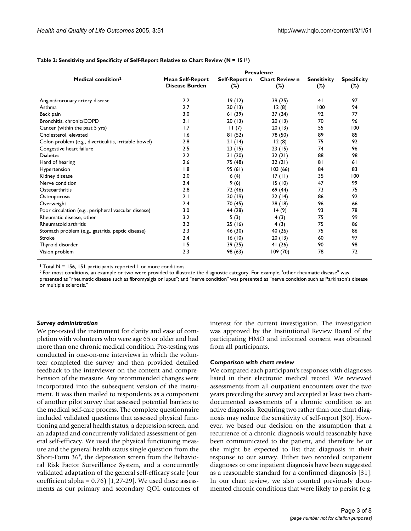|                                                       | <b>Prevalence</b>                                |                         |                                 |                              |                              |  |
|-------------------------------------------------------|--------------------------------------------------|-------------------------|---------------------------------|------------------------------|------------------------------|--|
| <b>Medical condition</b> <sup>2</sup>                 | <b>Mean Self-Report</b><br><b>Disease Burden</b> | Self-Report n<br>$(\%)$ | <b>Chart Review n</b><br>$(\%)$ | <b>Sensitivity</b><br>$(\%)$ | <b>Specificity</b><br>$(\%)$ |  |
| Angina/coronary artery disease                        | 2.2                                              | 19(12)                  | 39 (25)                         | 41                           | 97                           |  |
| Asthma                                                | 2.7                                              | 20(13)                  | 12(8)                           | 100                          | 94                           |  |
| Back pain                                             | 3.0                                              | 61(39)                  | 37(24)                          | 92                           | 77                           |  |
| Bronchitis, chronic/COPD                              | 3.1                                              | 20(13)                  | 20(13)                          | 70                           | 96                           |  |
| Cancer (within the past 5 yrs)                        | 1.7                                              | 11(7)                   | 20(13)                          | 55                           | 100                          |  |
| Cholesterol, elevated                                 | 1.6                                              | 81(52)                  | 78 (50)                         | 89                           | 85                           |  |
| Colon problem (e.g., diverticulitis, irritable bowel) | 2.8                                              | 21(14)                  | 12(8)                           | 75                           | 92                           |  |
| Congestive heart failure                              | 2.5                                              | 23(15)                  | 23(15)                          | 74                           | 96                           |  |
| <b>Diabetes</b>                                       | 2.2                                              | 31(20)                  | 32(21)                          | 88                           | 98                           |  |
| Hard of hearing                                       | 2.6                                              | 75 (48)                 | 32(21)                          | 81                           | 61                           |  |
| Hypertension                                          | 1.8                                              | 95(61)                  | 103(66)                         | 84                           | 83                           |  |
| Kidney disease                                        | 2.0                                              | 6(4)                    | 17(11)                          | 35                           | 100                          |  |
| Nerve condition                                       | 3.4                                              | 9(6)                    | 15(10)                          | 47                           | 99                           |  |
| Osteoarthritis                                        | 2.8                                              | 72 (46)                 | 69 (44)                         | 73                           | 75                           |  |
| Osteoporosis                                          | 2.1                                              | 30(19)                  | 22(14)                          | 86                           | 92                           |  |
| Overweight                                            | 2.4                                              | 70 (45)                 | 28(18)                          | 96                           | 66                           |  |
| Poor circulation (e.g., peripheral vascular disease)  | 3.0                                              | 44 (28)                 | 14(9)                           | 93                           | 78                           |  |
| Rheumatic disease, other                              | 3.2                                              | 5(3)                    | 4(3)                            | 75                           | 99                           |  |
| Rheumatoid arthritis                                  | 3.2                                              | 25(16)                  | 4(3)                            | 75                           | 86                           |  |
| Stomach problem (e.g., gastritis, peptic disease)     | 2.3                                              | 46 (30)                 | 40 (26)                         | 75                           | 86                           |  |
| Stroke                                                | 2.4                                              | 16(10)                  | 20(13)                          | 60                           | 97                           |  |
| Thyroid disorder                                      | 1.5                                              | 39(25)                  | 41(26)                          | 90                           | 98                           |  |
| Vision problem                                        | 2.3                                              | 98 (63)                 | 109(70)                         | 78                           | 72                           |  |

#### <span id="page-2-0"></span>**Table 2: Sensitivity and Specificity of Self-Report Relative to Chart Review (N = 1511)**

 $1$  Total N = 156, 151 participants reported 1 or more conditions.

<sup>2</sup> For most conditions, an example or two were provided to illustrate the diagnostic category. For example, 'other rheumatic disease" was presented as "rheumatic disease such as fibromyalgia or lupus"; and "nerve condition" was presented as "nerve condition such as Parkinson's disease or multiple sclerosis."

#### *Survey administration*

We pre-tested the instrument for clarity and ease of completion with volunteers who were age 65 or older and had more than one chronic medical condition. Pre-testing was conducted in one-on-one interviews in which the volunteer completed the survey and then provided detailed feedback to the interviewer on the content and comprehension of the measure. Any recommended changes were incorporated into the subsequent version of the instrument. It was then mailed to respondents as a component of another pilot survey that assessed potential barriers to the medical self-care process. The complete questionnaire included validated questions that assessed physical functioning and general health status, a depression screen, and an adapted and concurrently validated assessment of general self-efficacy. We used the physical functioning measure and the general health status single question from the Short-Form 36®, the depression screen from the Behavioral Risk Factor Surveillance System, and a concurrently validated adaptation of the general self-efficacy scale (our coefficient alpha =  $0.76$  [1,27-29]. We used these assessments as our primary and secondary QOL outcomes of interest for the current investigation. The investigation was approved by the Institutional Review Board of the participating HMO and informed consent was obtained from all participants.

#### *Comparison with chart review*

We compared each participant's responses with diagnoses listed in their electronic medical record. We reviewed assessments from all outpatient encounters over the two years preceding the survey and accepted at least two chartdocumented assessments of a chronic condition as an active diagnosis. Requiring two rather than one chart diagnosis may reduce the sensitivity of self-report [30]. However, we based our decision on the assumption that a recurrence of a chronic diagnosis would reasonably have been communicated to the patient, and therefore he or she might be expected to list that diagnosis in their response to our survey. Either two recorded outpatient diagnoses or one inpatient diagnosis have been suggested as a reasonable standard for a confirmed diagnosis [31]. In our chart review, we also counted previously documented chronic conditions that were likely to persist (e.g.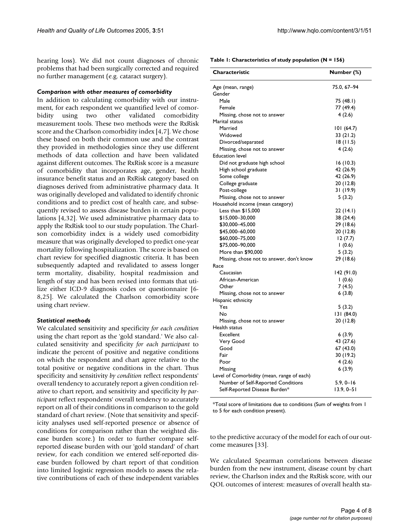hearing loss). We did not count diagnoses of chronic problems that had been surgically corrected and required no further management (e.g. cataract surgery).

#### *Comparison with other measures of comorbidity*

In addition to calculating comorbidity with our instrument, for each respondent we quantified level of comorbidity using two other validated comorbidity measurement tools. These two methods were the RxRisk score and the Charlson comorbidity index [4,7]. We chose these based on both their common use and the contrast they provided in methodologies since they use different methods of data collection and have been validated against different outcomes. The RxRisk score is a measure of comorbidity that incorporates age, gender, health insurance benefit status and an RxRisk category based on diagnoses derived from administrative pharmacy data. It was originally developed and validated to identify chronic conditions and to predict cost of health care, and subsequently revised to assess disease burden in certain populations [4,32]. We used administrative pharmacy data to apply the RxRisk tool to our study population. The Charlson comorbidity index is a widely used comorbidity measure that was originally developed to predict one-year mortality following hospitalization. The score is based on chart review for specified diagnostic criteria. It has been subsequently adapted and revalidated to assess longer term mortality, disability, hospital readmission and length of stay and has been revised into formats that utilize either ICD-9 diagnosis codes or questionnaire [6- 8,25]. We calculated the Charlson comorbidity score using chart review.

### *Statistical methods*

We calculated sensitivity and specificity *for each condition* using the chart report as the 'gold standard.' We also calculated sensitivity and specificity *for each participant* to indicate the percent of positive and negative conditions on which the respondent and chart agree relative to the total positive or negative conditions in the chart. Thus specificity and sensitivity *by condition* reflect respondents' overall tendency to accurately report a given condition relative to chart report, and sensitivity and specificity *by participant* reflect respondents' overall tendency to accurately report on all of their conditions in comparison to the gold standard of chart review. (Note that sensitivity and specificity analyses used self-reported presence or absence of conditions for comparison rather than the weighted disease burden score.) In order to further compare selfreported disease burden with our 'gold standard' of chart review, for each condition we entered self-reported disease burden followed by chart report of that condition into limited logistic regression models to assess the relative contributions of each of these independent variables

| Table 1: Characteristics of study population $(N = 156)$ |  |  |  |  |
|----------------------------------------------------------|--|--|--|--|
|----------------------------------------------------------|--|--|--|--|

| Characteristic                             | Number (%)    |
|--------------------------------------------|---------------|
| Age (mean, range)                          | 75.0, 67–94   |
| Gender                                     |               |
| Male                                       | 75 (48.I)     |
| Female                                     | 77 (49.4)     |
| Missing, chose not to answer               | 4(2.6)        |
| Marital status                             |               |
| Married                                    | 101(64.7)     |
| Widowed                                    | 33(21.2)      |
| Divorced/separated                         | 18(11.5)      |
| Missing, chose not to answer               | 4(2.6)        |
| <b>Education level</b>                     |               |
| Did not graduate high school               | 16(10.3)      |
| High school graduate                       | 42 (26.9)     |
| Some college                               | 42 (26.9)     |
| College graduate                           | 20 (12.8)     |
| Post-college                               | 31 (19.9)     |
| Missing, chose not to answer               | 5(3.2)        |
| Household income (mean category)           |               |
| Less than \$15,000                         | 22(14.1)      |
| \$15,000-30,000                            | 38 (24.4)     |
| \$30,000-45,000                            | 29 (18.6)     |
| \$45,000-60,000                            | 20 (12.8)     |
| \$60,000-75,000                            | 12(7.7)       |
| \$75,000-90,000                            | (0.6)         |
| More than \$90,000                         | 5(3.2)        |
| Missing, chose not to answer, don't know   | 29 (18.6)     |
| Race                                       |               |
| Caucasian                                  | 142 (91.0)    |
| African-American                           | 1(0.6)        |
| Other                                      | 7(4.5)        |
| Missing, chose not to answer               | 6(3.8)        |
| Hispanic ethnicity                         |               |
| Yes                                        | 5 (3.2)       |
| No                                         | 131 (84.0)    |
| Missing, chose not to answer               | 20 (12.8)     |
| Health status                              |               |
| Excellent                                  | 6 (3.9)       |
| Very Good                                  | 43 (27.6)     |
| Good                                       | 67 (43.0)     |
| Fair                                       | 30 (19.2)     |
| Poor                                       | 4(2.6)        |
| Missing                                    | 6(3.9)        |
| Level of Comorbidity (mean, range of each) |               |
| Number of Self-Reported Conditions         | $5.9, 0 - 16$ |
| Self-Reported Disease Burden*              | 13.9, 0-51    |
|                                            |               |

\*Total score of limitations due to conditions (Sum of weights from 1 to 5 for each condition present).

to the predictive accuracy of the model for each of our outcome measures [33].

We calculated Spearman correlations between disease burden from the new instrument, disease count by chart review, the Charlson index and the RxRisk score, with our QOL outcomes of interest: measures of overall health sta-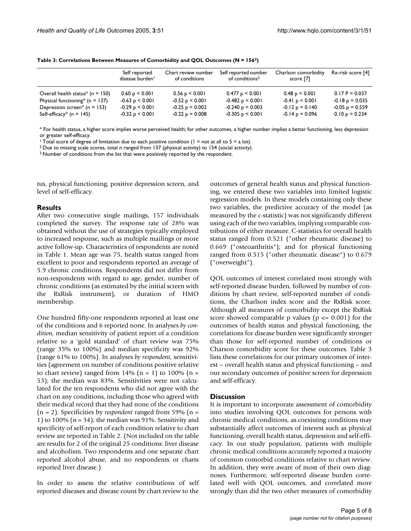|                                      | Self reported<br>disease burden <sup>1</sup> | Chart review number<br>of conditions | Self reported number<br>of conditions <sup>3</sup> | Charlson comorbidity<br>score [7] | Rx-risk score [4] |
|--------------------------------------|----------------------------------------------|--------------------------------------|----------------------------------------------------|-----------------------------------|-------------------|
| Overall health status* ( $n = 150$ ) | 0.60 p < 0.001                               | $0.56 \text{ p} \leq 0.001$          | 0.477 p < 0.001                                    | $0.48 \text{ p} \leq 0.001$       | $0.17 P = 0.037$  |
| Physical functioning* ( $n = 137$ )  | $-0.63$ p < 0.001                            | $-0.52$ p < 0.001                    | $-0.482 p < 0.001$                                 | $-0.41$ p < 0.001                 | $-0.18 p = 0.035$ |
| Depression screen* ( $n = 153$ )     | $-0.29$ p < 0.001                            | $-0.25$ p = 0.002                    | $-0.240 p = 0.003$                                 | $-0.12 p = 0.140$                 | $-0.05$ p = 0.559 |
| Self-efficacy* ( $n = 145$ )         | $-0.32 p < 0.001$                            | $-0.22$ p = 0.008                    | $-0.305$ p < 0.001                                 | $-0.14 p = 0.096$                 | $0.10 p = 0.234$  |

**Table 3: Correlations Between Measures of Comorbidity and QOL Outcomes (N = 1562)**

\* For health status, a higher score implies worse perceived health; for other outcomes, a higher number implies a better functioning, less depression or greater self-efficacy.

<sup>1</sup> Total score of degree of limitation due to each positive condition ( $1 =$  not at all to  $5 =$  a lot).

2 Due to missing scale scores, total n ranged from 137 (physical activity) to 154 (social activity).

<sup>3</sup> Number of conditions from the list that were positively reported by the respondent.

tus, physical functioning, positive depression screen, and level of self-efficacy.

#### **Results**

After two consecutive single mailings, 157 individuals completed the survey. The response rate of 28% was obtained without the use of strategies typically employed to increased response, such as multiple mailings or more active follow-up. Characteristics of respondents are noted in Table 1. Mean age was 75, health status ranged from excellent to poor and respondents reported an average of 5.9 chronic conditions. Respondents did not differ from non-respondents with regard to age, gender, number of chronic conditions (as estimated by the initial screen with the RxRisk instrument), or duration of HMO membership.

One hundred fifty-one respondents reported at least one of the conditions and 6 reported none. In analyses *by condition*, median sensitivity of patient report of a condition relative to a 'gold standard' of chart review was 75% (range 35% to 100%) and median specificity was 92% (range 61% to 100%). In analyses *by respondent*, sensitivities (agreement on number of conditions positive relative to chart review) ranged from  $14\%$  (n = 1) to  $100\%$  (n = 53); the median was 83%. Sensitivities were not calculated for the ten respondents who did not agree with the chart on any conditions, including those who agreed with their medical record that they had none of the conditions (n = 2). Specificities by *respondent* ranged from 59% (n = 1) to  $100\%$  (n = 34); the median was 91%. Sensitivity and specificity of self-report of each condition relative to chart review are reported in Table [2](#page-2-0). (Not included on the table are results for 2 of the original 25 conditions: liver disease and alcoholism. Two respondents and one separate chart reported alcohol abuse, and no respondents or charts reported liver disease.)

In order to assess the relative contributions of self reported diseases and disease count by chart review to the outcomes of general health status and physical functioning, we entered these two variables into limited logistic regression models. In these models containing only these two variables, the predictive accuracy of the model (as measured by the c-statistic) was not significantly different using each of the two variables, implying comparable contributions of either measure. C-statistics for overall health status ranged from 0.521 ("other rheumatic disease) to 0.669 ("osteoarthritis"); and for physical functioning ranged from 0.515 ("other rheumatic disease") to 0.679 ("overweight").

QOL outcomes of interest correlated most strongly with self-reported disease burden, followed by number of conditions by chart review, self-reported number of conditions, the Charlson index score and the RxRisk score. Although all measures of comorbidity except the RxRisk score showed comparable p values ( $p \le 0.001$ ) for the outcomes of health status and physical functioning, the correlations for disease burden were significantly stronger than those for self-reported number of conditions or Charson comorbidity score for these outcomes. Table 3 lists these correlations for our primary outcomes of interest – overall health status and physical functioning – and our secondary outcomes of positive screen for depression and self-efficacy.

### **Discussion**

It is important to incorporate assessment of comorbidity into studies involving QOL outcomes for persons with chronic medical conditions, as coexisting conditions may substantially affect outcomes of interest such as physical functioning, overall health status, depression and self-efficacy. In our study population, patients with multiple chronic medical conditions accurately reported a majority of common comorbid conditions relative to chart review. In addition, they were aware of most of their own diagnoses. Furthermore, self-reported disease burden correlated well with QOL outcomes, and correlated more strongly than did the two other measures of comorbidity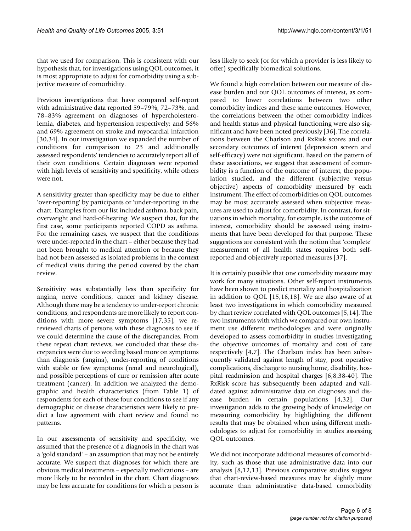that we used for comparison. This is consistent with our hypothesis that, for investigations using QOL outcomes, it is most appropriate to adjust for comorbidity using a subjective measure of comorbidity.

Previous investigations that have compared self-report with administrative data reported 59–79%, 72–73%, and 78–83% agreement on diagnoses of hypercholesterolemia, diabetes, and hypertension respectively; and 56% and 69% agreement on stroke and myocardial infarction [30,34]. In our investigation we expanded the number of conditions for comparison to 23 and additionally assessed respondents' tendencies to accurately report all of their own conditions. Certain diagnoses were reported with high levels of sensitivity and specificity, while others were not.

A sensitivity greater than specificity may be due to either 'over-reporting' by participants or 'under-reporting' in the chart. Examples from our list included asthma, back pain, overweight and hard-of-hearing. We suspect that, for the first case, some participants reported COPD as asthma. For the remaining cases, we suspect that the conditions were under-reported in the chart – either because they had not been brought to medical attention or because they had not been assessed as isolated problems in the context of medical visits during the period covered by the chart review.

Sensitivity was substantially less than specificity for angina, nerve conditions, cancer and kidney disease. Although there may be a tendency to under-report chronic conditions, and respondents are more likely to report conditions with more severe symptoms [17,35]; we rereviewed charts of persons with these diagnoses to see if we could determine the cause of the discrepancies. From these repeat chart reviews, we concluded that these discrepancies were due to wording based more on symptoms than diagnosis (angina), under-reporting of conditions with stable or few symptoms (renal and neurological), and possible perceptions of cure or remission after acute treatment (cancer). In addition we analyzed the demographic and health characteristics (from Table 1) of respondents for each of these four conditions to see if any demographic or disease characteristics were likely to predict a low agreement with chart review and found no patterns.

In our assessments of sensitivity and specificity, we assumed that the presence of a diagnosis in the chart was a 'gold standard' – an assumption that may not be entirely accurate. We suspect that diagnoses for which there are obvious medical treatments – especially medications – are more likely to be recorded in the chart. Chart diagnoses may be less accurate for conditions for which a person is less likely to seek (or for which a provider is less likely to offer) specifically biomedical solutions.

We found a high correlation between our measure of disease burden and our QOL outcomes of interest, as compared to lower correlations between two other comorbidity indices and these same outcomes. However, the correlations between the other comorbidity indices and health status and physical functioning were also significant and have been noted previously [36]. The correlations between the Charlson and RxRisk scores and our secondary outcomes of interest (depression screen and self-efficacy) were not significant. Based on the pattern of these associations, we suggest that assessment of comorbidity is a function of the outcome of interest, the population studied, and the different (subjective versus objective) aspects of comorbidity measured by each instrument. The effect of comorbidities on QOL outcomes may be most accurately assessed when subjective measures are used to adjust for comorbidity. In contrast, for situations in which mortality, for example, is the outcome of interest, comorbidity should be assessed using instruments that have been developed for that purpose. These suggestions are consistent with the notion that 'complete' measurement of all health states requires both selfreported and objectively reported measures [37].

It is certainly possible that one comorbidity measure may work for many situations. Other self-report instruments have been shown to predict mortality and hospitalization in addition to QOL [15,16,18]. We are also aware of at least two investigations in which comorbidity measured by chart review correlated with QOL outcomes [5,14]. The two instruments with which we compared our own instrument use different methodologies and were originally developed to assess comorbidity in studies investigating the objective outcomes of mortality and cost of care respectively [4,7]. The Charlson index has been subsequently validated against length of stay, post operative complications, discharge to nursing home, disability, hospital readmission and hospital charges [6,8,38-40]. The RxRisk score has subsequently been adapted and validated against administrative data on diagnoses and disease burden in certain populations [4,32]. Our investigation adds to the growing body of knowledge on measuring comorbidity by highlighting the different results that may be obtained when using different methodologies to adjust for comorbidity in studies assessing QOL outcomes.

We did not incorporate additional measures of comorbidity, such as those that use administrative data into our analysis [8,12,13]. Previous comparative studies suggest that chart-review-based measures may be slightly more accurate than administrative data-based comorbidity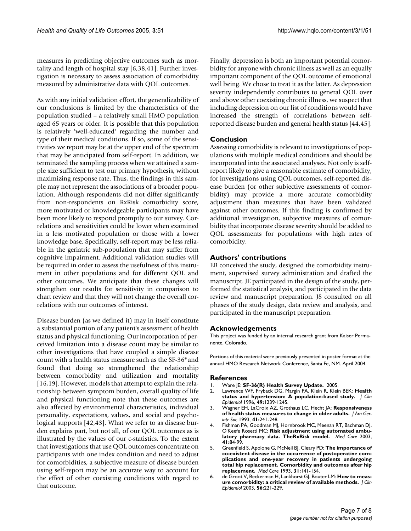measures in predicting objective outcomes such as mortality and length of hospital stay [6,38,41]. Further investigation is necessary to assess association of comorbidity measured by administrative data with QOL outcomes.

As with any initial validation effort, the generalizability of our conclusions is limited by the characteristics of the population studied – a relatively small HMO population aged 65 years or older. It is possible that this population is relatively 'well-educated' regarding the number and type of their medical conditions. If so, some of the sensitivities we report may be at the upper end of the spectrum that may be anticipated from self-report. In addition, we terminated the sampling process when we attained a sample size sufficient to test our primary hypothesis, without maximizing response rate. Thus, the findings in this sample may not represent the associations of a broader population. Although respondents did not differ significantly from non-respondents on RxRisk comorbidity score, more motivated or knowledgeable participants may have been more likely to respond promptly to our survey. Correlations and sensitivities could be lower when examined in a less motivated population or those with a lower knowledge base. Specifically, self-report may be less reliable in the geriatric sub-population that may suffer from cognitive impairment. Additional validation studies will be required in order to assess the usefulness of this instrument in other populations and for different QOL and other outcomes. We anticipate that these changes will strengthen our results for sensitivity in comparison to chart review and that they will not change the overall correlations with our outcomes of interest.

Disease burden (as we defined it) may in itself constitute a substantial portion of any patient's assessment of health status and physical functioning. Our incorporation of perceived limitation into a disease count may be similar to other investigations that have coupled a simple disease count with a health status measure such as the SF-36® and found that doing so strengthened the relationship between comorbidity and utilization and mortality [16,19]. However, models that attempt to explain the relationship between symptom burden, overall quality of life and physical functioning note that these outcomes are also affected by environmental characteristics, individual personality, expectations, values, and social and psychological supports [42,43]. What we refer to as disease burden explains part, but not all, of our QOL outcomes as is illustrated by the values of our c-statistics. To the extent that investigations that use QOL outcomes concentrate on participants with one index condition and need to adjust for comorbidities, a subjective measure of disease burden using self-report may be an accurate way to account for the effect of other coexisting conditions with regard to that outcome.

Finally, depression is both an important potential comorbidity for anyone with chronic illness as well as an equally important component of the QOL outcome of emotional well being. We chose to treat it as the latter. As depression severity independently contributes to general QOL over and above other coexisting chronic illness, we suspect that including depression on our list of conditions would have increased the strength of correlations between selfreported disease burden and general health status [44,45].

# **Conclusion**

Assessing comorbidity is relevant to investigations of populations with multiple medical conditions and should be incorporated into the associated analyses. Not only is selfreport likely to give a reasonable estimate of comorbidity, for investigations using QOL outcomes, self-reported disease burden (or other subjective assessments of comorbidity) may provide a more accurate comorbidity adjustment than measures that have been validated against other outcomes. If this finding is confirmed by additional investigation, subjective measures of comorbidity that incorporate disease severity should be added to QOL assessments for populations with high rates of comorbidity.

# **Authors' contributions**

EB conceived the study, designed the comorbidity instrument, supervised survey administration and drafted the manuscript. JE participated in the design of the study, performed the statistical analysis, and participated in the data review and manuscript preparation. JS consulted on all phases of the study design, data review and analysis, and participated in the manuscript preparation.

# **Acknowledgements**

This project was funded by an internal research grant from Kaiser Permanente, Colorado.

Portions of this material were previously presented in poster format at the annual HMO Research Network Conference, Santa Fe, NM. April 2004.

# **References**

- 1. Ware JE: **SF-36(R) Health Survey Update.** 2005.
- 2. Lawrence WF, Fryback DG, Margin PA, Klein R, Klein BEK: **[Health](http://www.ncbi.nlm.nih.gov/entrez/query.fcgi?cmd=Retrieve&db=PubMed&dopt=Abstract&list_uids=8892491) [status and hypertension: A population-based study.](http://www.ncbi.nlm.nih.gov/entrez/query.fcgi?cmd=Retrieve&db=PubMed&dopt=Abstract&list_uids=8892491)** *J Clin Epidemiol* 1996, **49:**1239-1245.
- 3. Wagner EH, LaCroix AZ, Grothaus LC, Hecht JA: **[Responsiveness](http://www.ncbi.nlm.nih.gov/entrez/query.fcgi?cmd=Retrieve&db=PubMed&dopt=Abstract&list_uids=8440846) [of health status measures to change in older adults.](http://www.ncbi.nlm.nih.gov/entrez/query.fcgi?cmd=Retrieve&db=PubMed&dopt=Abstract&list_uids=8440846)** *J Am Geriatr Soc* 1993, **41:**241-248.
- 4. Fishman PA, Goodman MJ, Hornbrook MC, Meenan RT, Bachman DJ, O'Keefe Rosetti MC: **[Risk adjustment using automated ambu](http://www.ncbi.nlm.nih.gov/entrez/query.fcgi?cmd=Retrieve&db=PubMed&dopt=Abstract&list_uids=12544546)[latory pharmacy data. TheRxRisk model.](http://www.ncbi.nlm.nih.gov/entrez/query.fcgi?cmd=Retrieve&db=PubMed&dopt=Abstract&list_uids=12544546)** *Med Care* 2003, **41:**84-99.
- 5. Greenfield S, Apolone G, McNeil BJ, Cleary PD: **[The importance of](http://www.ncbi.nlm.nih.gov/entrez/query.fcgi?cmd=Retrieve&db=PubMed&dopt=Abstract&list_uids=8433577) co-existent disease in the occurrence of postoperative complications and one-year recovery in patients undergoing [total hip replacement. Comorbidity and outcomes after hip](http://www.ncbi.nlm.nih.gov/entrez/query.fcgi?cmd=Retrieve&db=PubMed&dopt=Abstract&list_uids=8433577) [replacement.](http://www.ncbi.nlm.nih.gov/entrez/query.fcgi?cmd=Retrieve&db=PubMed&dopt=Abstract&list_uids=8433577)** *Med Care* 1993, **31:**141-154.
- 6. de Groot V, Beckerman H, Lankhorst GJ, Bouter LM: **[How to meas](http://www.ncbi.nlm.nih.gov/entrez/query.fcgi?cmd=Retrieve&db=PubMed&dopt=Abstract&list_uids=12725876)[ure comorbidity: a critical review of available methods.](http://www.ncbi.nlm.nih.gov/entrez/query.fcgi?cmd=Retrieve&db=PubMed&dopt=Abstract&list_uids=12725876)** *J Clin Epidemiol* 2003, **56:**221-229.